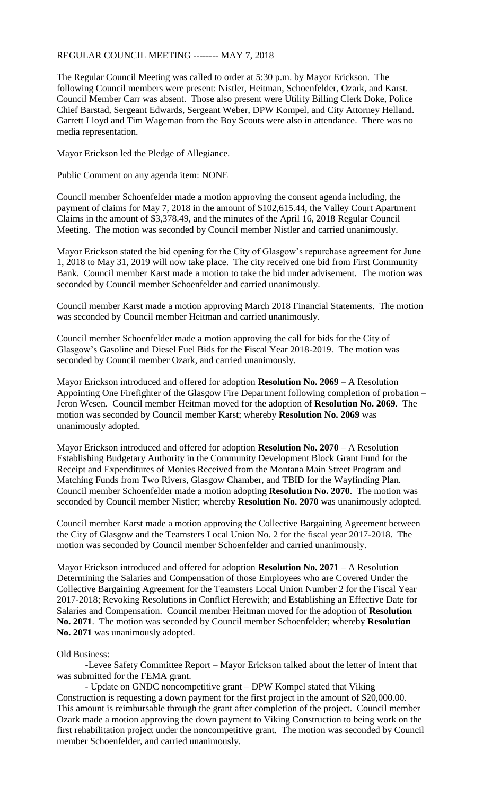## REGULAR COUNCIL MEETING -------- MAY 7, 2018

The Regular Council Meeting was called to order at 5:30 p.m. by Mayor Erickson. The following Council members were present: Nistler, Heitman, Schoenfelder, Ozark, and Karst. Council Member Carr was absent. Those also present were Utility Billing Clerk Doke, Police Chief Barstad, Sergeant Edwards, Sergeant Weber, DPW Kompel, and City Attorney Helland. Garrett Lloyd and Tim Wageman from the Boy Scouts were also in attendance. There was no media representation.

Mayor Erickson led the Pledge of Allegiance.

Public Comment on any agenda item: NONE

Council member Schoenfelder made a motion approving the consent agenda including, the payment of claims for May 7, 2018 in the amount of \$102,615.44, the Valley Court Apartment Claims in the amount of \$3,378.49, and the minutes of the April 16, 2018 Regular Council Meeting. The motion was seconded by Council member Nistler and carried unanimously.

Mayor Erickson stated the bid opening for the City of Glasgow's repurchase agreement for June 1, 2018 to May 31, 2019 will now take place. The city received one bid from First Community Bank. Council member Karst made a motion to take the bid under advisement. The motion was seconded by Council member Schoenfelder and carried unanimously.

Council member Karst made a motion approving March 2018 Financial Statements. The motion was seconded by Council member Heitman and carried unanimously.

Council member Schoenfelder made a motion approving the call for bids for the City of Glasgow's Gasoline and Diesel Fuel Bids for the Fiscal Year 2018-2019. The motion was seconded by Council member Ozark, and carried unanimously.

Mayor Erickson introduced and offered for adoption **Resolution No. 2069** – A Resolution Appointing One Firefighter of the Glasgow Fire Department following completion of probation – Jeron Wesen. Council member Heitman moved for the adoption of **Resolution No. 2069**. The motion was seconded by Council member Karst; whereby **Resolution No. 2069** was unanimously adopted.

Mayor Erickson introduced and offered for adoption **Resolution No. 2070** – A Resolution Establishing Budgetary Authority in the Community Development Block Grant Fund for the Receipt and Expenditures of Monies Received from the Montana Main Street Program and Matching Funds from Two Rivers, Glasgow Chamber, and TBID for the Wayfinding Plan. Council member Schoenfelder made a motion adopting **Resolution No. 2070**. The motion was seconded by Council member Nistler; whereby **Resolution No. 2070** was unanimously adopted.

Council member Karst made a motion approving the Collective Bargaining Agreement between the City of Glasgow and the Teamsters Local Union No. 2 for the fiscal year 2017-2018. The motion was seconded by Council member Schoenfelder and carried unanimously.

Mayor Erickson introduced and offered for adoption **Resolution No. 2071** – A Resolution Determining the Salaries and Compensation of those Employees who are Covered Under the Collective Bargaining Agreement for the Teamsters Local Union Number 2 for the Fiscal Year 2017-2018; Revoking Resolutions in Conflict Herewith; and Establishing an Effective Date for Salaries and Compensation. Council member Heitman moved for the adoption of **Resolution No. 2071**. The motion was seconded by Council member Schoenfelder; whereby **Resolution No. 2071** was unanimously adopted.

## Old Business:

-Levee Safety Committee Report – Mayor Erickson talked about the letter of intent that was submitted for the FEMA grant.

- Update on GNDC noncompetitive grant – DPW Kompel stated that Viking Construction is requesting a down payment for the first project in the amount of \$20,000.00. This amount is reimbursable through the grant after completion of the project. Council member Ozark made a motion approving the down payment to Viking Construction to being work on the first rehabilitation project under the noncompetitive grant. The motion was seconded by Council member Schoenfelder, and carried unanimously.